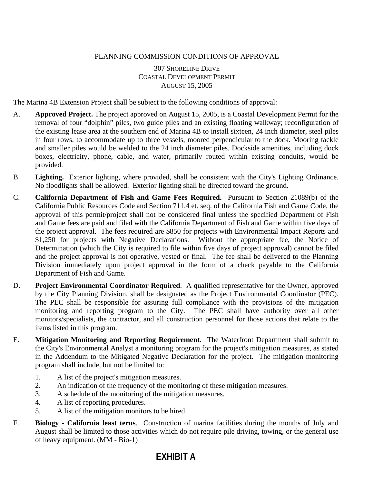## PLANNING COMMISSION CONDITIONS OF APPROVAL

## 307 SHORELINE DRIVE COASTAL DEVELOPMENT PERMIT AUGUST 15, 2005

The Marina 4B Extension Project shall be subject to the following conditions of approval:

- A. **Approved Project.** The project approved on August 15, 2005, is a Coastal Development Permit for the removal of four "dolphin" piles, two guide piles and an existing floating walkway; reconfiguration of the existing lease area at the southern end of Marina 4B to install sixteen, 24 inch diameter, steel piles in four rows, to accommodate up to three vessels, moored perpendicular to the dock. Mooring tackle and smaller piles would be welded to the 24 inch diameter piles. Dockside amenities, including dock boxes, electricity, phone, cable, and water, primarily routed within existing conduits, would be provided.
- B. **Lighting.** Exterior lighting, where provided, shall be consistent with the City's Lighting Ordinance. No floodlights shall be allowed. Exterior lighting shall be directed toward the ground.
- C. **California Department of Fish and Game Fees Required.** Pursuant to Section 21089(b) of the California Public Resources Code and Section 711.4 et. seq. of the California Fish and Game Code, the approval of this permit/project shall not be considered final unless the specified Department of Fish and Game fees are paid and filed with the California Department of Fish and Game within five days of the project approval. The fees required are \$850 for projects with Environmental Impact Reports and \$1,250 for projects with Negative Declarations. Without the appropriate fee, the Notice of Determination (which the City is required to file within five days of project approval) cannot be filed and the project approval is not operative, vested or final. The fee shall be delivered to the Planning Division immediately upon project approval in the form of a check payable to the California Department of Fish and Game.
- D. **Project Environmental Coordinator Required**. A qualified representative for the Owner, approved by the City Planning Division, shall be designated as the Project Environmental Coordinator (PEC). The PEC shall be responsible for assuring full compliance with the provisions of the mitigation monitoring and reporting program to the City. The PEC shall have authority over all other monitors/specialists, the contractor, and all construction personnel for those actions that relate to the items listed in this program.
- E. **Mitigation Monitoring and Reporting Requirement.** The Waterfront Department shall submit to the City's Environmental Analyst a monitoring program for the project's mitigation measures, as stated in the Addendum to the Mitigated Negative Declaration for the project. The mitigation monitoring program shall include, but not be limited to:
	- 1. A list of the project's mitigation measures.
	- 2. An indication of the frequency of the monitoring of these mitigation measures.
	- 3. A schedule of the monitoring of the mitigation measures.
	- 4. A list of reporting procedures.
	- 5. A list of the mitigation monitors to be hired.
- F. **Biology California least terns**. Construction of marina facilities during the months of July and August shall be limited to those activities which do not require pile driving, towing, or the general use of heavy equipment. (MM - Bio-1)

## **EXHIBIT A**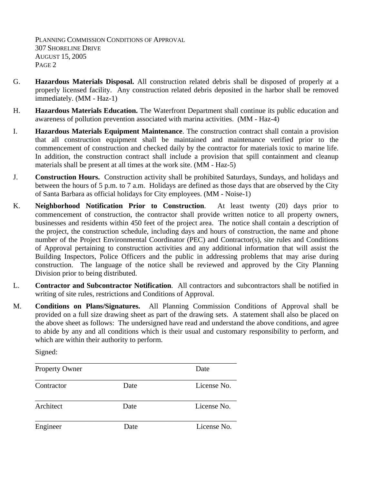PLANNING COMMISSION CONDITIONS OF APPROVAL 307 SHORELINE DRIVE AUGUST 15, 2005 P<sub>AGE</sub> 2

- G. **Hazardous Materials Disposal.** All construction related debris shall be disposed of properly at a properly licensed facility. Any construction related debris deposited in the harbor shall be removed immediately. (MM - Haz-1)
- H. **Hazardous Materials Education.** The Waterfront Department shall continue its public education and awareness of pollution prevention associated with marina activities. (MM - Haz-4)
- I. **Hazardous Materials Equipment Maintenance**. The construction contract shall contain a provision that all construction equipment shall be maintained and maintenance verified prior to the commencement of construction and checked daily by the contractor for materials toxic to marine life. In addition, the construction contract shall include a provision that spill containment and cleanup materials shall be present at all times at the work site. (MM - Haz-5)
- J. **Construction Hours.** Construction activity shall be prohibited Saturdays, Sundays, and holidays and between the hours of 5 p.m. to 7 a.m. Holidays are defined as those days that are observed by the City of Santa Barbara as official holidays for City employees. (MM - Noise-1)
- K. **Neighborhood Notification Prior to Construction**. At least twenty (20) days prior to commencement of construction, the contractor shall provide written notice to all property owners, businesses and residents within 450 feet of the project area. The notice shall contain a description of the project, the construction schedule, including days and hours of construction, the name and phone number of the Project Environmental Coordinator (PEC) and Contractor(s), site rules and Conditions of Approval pertaining to construction activities and any additional information that will assist the Building Inspectors, Police Officers and the public in addressing problems that may arise during construction. The language of the notice shall be reviewed and approved by the City Planning Division prior to being distributed.
- L. **Contractor and Subcontractor Notification**. All contractors and subcontractors shall be notified in writing of site rules, restrictions and Conditions of Approval.
- M. **Conditions on Plans/Signatures.** All Planning Commission Conditions of Approval shall be provided on a full size drawing sheet as part of the drawing sets. A statement shall also be placed on the above sheet as follows: The undersigned have read and understand the above conditions, and agree to abide by any and all conditions which is their usual and customary responsibility to perform, and which are within their authority to perform.

Signed:

| <b>Property Owner</b> |      | Date        |
|-----------------------|------|-------------|
| Contractor            | Date | License No. |
| Architect             | Date | License No. |
| Engineer              | Date | License No. |